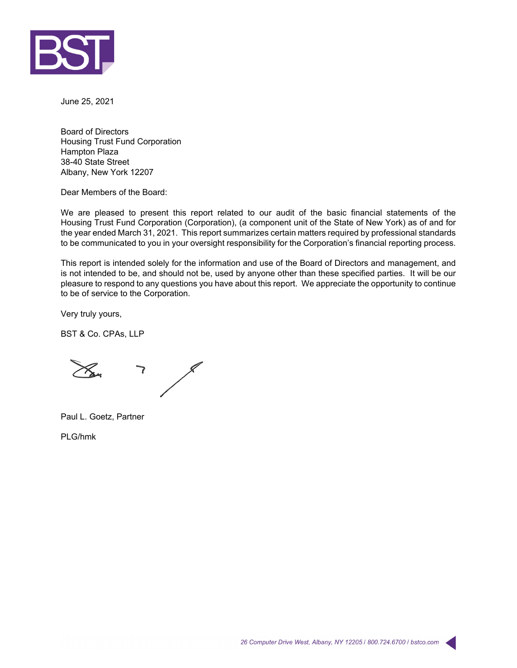

June 25, 2021

Board of Directors Housing Trust Fund Corporation Hampton Plaza 38-40 State Street Albany, New York 12207

Dear Members of the Board:

We are pleased to present this report related to our audit of the basic financial statements of the Housing Trust Fund Corporation (Corporation), (a component unit of the State of New York) as of and for the year ended March 31, 2021. This report summarizes certain matters required by professional standards to be communicated to you in your oversight responsibility for the Corporation's financial reporting process.

This report is intended solely for the information and use of the Board of Directors and management, and is not intended to be, and should not be, used by anyone other than these specified parties. It will be our pleasure to respond to any questions you have about this report. We appreciate the opportunity to continue to be of service to the Corporation.

Very truly yours,

BST & Co. CPAs, LLP

7

Paul L. Goetz, Partner

PLG/hmk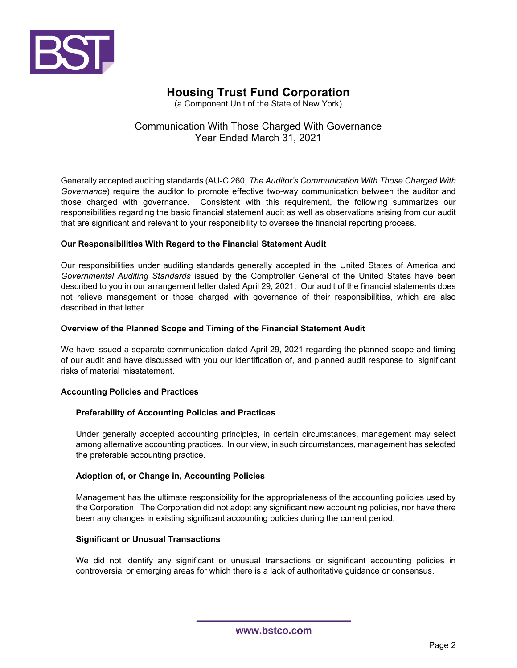

(a Component Unit of the State of New York)

## Communication With Those Charged With Governance Year Ended March 31, 2021

Generally accepted auditing standards (AU-C 260, *The Auditor's Communication With Those Charged With Governance*) require the auditor to promote effective two-way communication between the auditor and those charged with governance. Consistent with this requirement, the following summarizes our responsibilities regarding the basic financial statement audit as well as observations arising from our audit that are significant and relevant to your responsibility to oversee the financial reporting process.

### **Our Responsibilities With Regard to the Financial Statement Audit**

Our responsibilities under auditing standards generally accepted in the United States of America and *Governmental Auditing Standards* issued by the Comptroller General of the United States have been described to you in our arrangement letter dated April 29, 2021. Our audit of the financial statements does not relieve management or those charged with governance of their responsibilities, which are also described in that letter.

#### **Overview of the Planned Scope and Timing of the Financial Statement Audit**

We have issued a separate communication dated April 29, 2021 regarding the planned scope and timing of our audit and have discussed with you our identification of, and planned audit response to, significant risks of material misstatement.

### **Accounting Policies and Practices**

### **Preferability of Accounting Policies and Practices**

Under generally accepted accounting principles, in certain circumstances, management may select among alternative accounting practices. In our view, in such circumstances, management has selected the preferable accounting practice.

### **Adoption of, or Change in, Accounting Policies**

Management has the ultimate responsibility for the appropriateness of the accounting policies used by the Corporation. The Corporation did not adopt any significant new accounting policies, nor have there been any changes in existing significant accounting policies during the current period.

### **Significant or Unusual Transactions**

We did not identify any significant or unusual transactions or significant accounting policies in controversial or emerging areas for which there is a lack of authoritative guidance or consensus.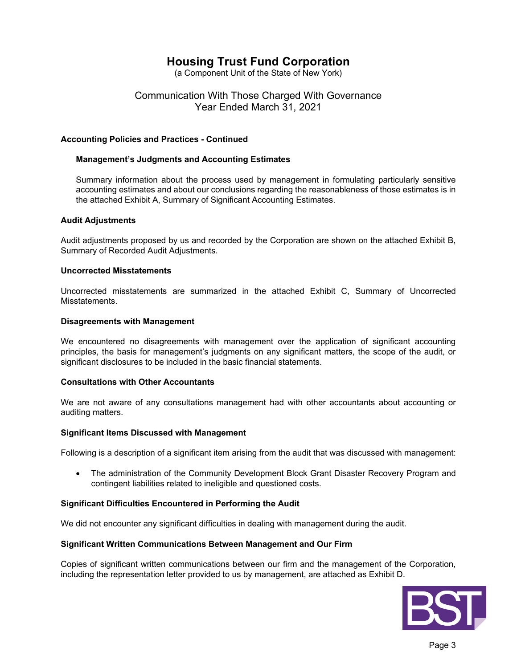(a Component Unit of the State of New York)

## Communication With Those Charged With Governance Year Ended March 31, 2021

#### **Accounting Policies and Practices - Continued**

#### **Management's Judgments and Accounting Estimates**

Summary information about the process used by management in formulating particularly sensitive accounting estimates and about our conclusions regarding the reasonableness of those estimates is in the attached Exhibit A, Summary of Significant Accounting Estimates.

#### **Audit Adjustments**

Audit adjustments proposed by us and recorded by the Corporation are shown on the attached Exhibit B, Summary of Recorded Audit Adjustments.

#### **Uncorrected Misstatements**

Uncorrected misstatements are summarized in the attached Exhibit C, Summary of Uncorrected Misstatements.

#### **Disagreements with Management**

We encountered no disagreements with management over the application of significant accounting principles, the basis for management's judgments on any significant matters, the scope of the audit, or significant disclosures to be included in the basic financial statements.

#### **Consultations with Other Accountants**

We are not aware of any consultations management had with other accountants about accounting or auditing matters.

#### **Significant Items Discussed with Management**

Following is a description of a significant item arising from the audit that was discussed with management:

 The administration of the Community Development Block Grant Disaster Recovery Program and contingent liabilities related to ineligible and questioned costs.

### **Significant Difficulties Encountered in Performing the Audit**

We did not encounter any significant difficulties in dealing with management during the audit.

#### **Significant Written Communications Between Management and Our Firm**

Copies of significant written communications between our firm and the management of the Corporation, including the representation letter provided to us by management, are attached as Exhibit D.

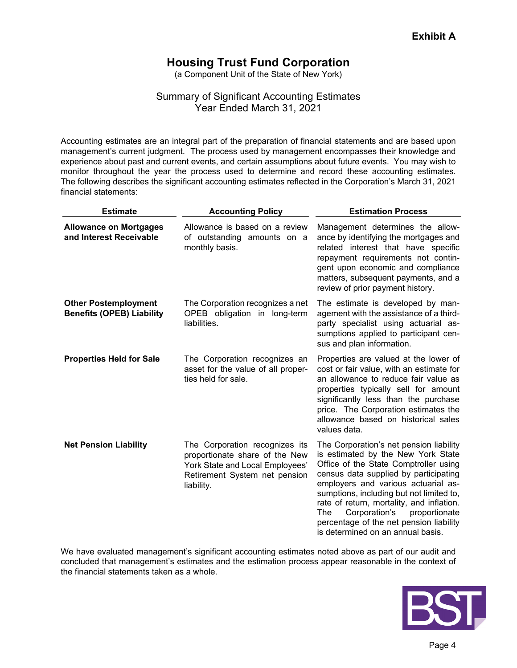(a Component Unit of the State of New York)

## Summary of Significant Accounting Estimates Year Ended March 31, 2021

Accounting estimates are an integral part of the preparation of financial statements and are based upon management's current judgment. The process used by management encompasses their knowledge and experience about past and current events, and certain assumptions about future events. You may wish to monitor throughout the year the process used to determine and record these accounting estimates. The following describes the significant accounting estimates reflected in the Corporation's March 31, 2021 financial statements:

| <b>Estimate</b>                                                 | <b>Accounting Policy</b>                                                                                                                           | <b>Estimation Process</b>                                                                                                                                                                                                                                                                                                                                                                                                |
|-----------------------------------------------------------------|----------------------------------------------------------------------------------------------------------------------------------------------------|--------------------------------------------------------------------------------------------------------------------------------------------------------------------------------------------------------------------------------------------------------------------------------------------------------------------------------------------------------------------------------------------------------------------------|
| <b>Allowance on Mortgages</b><br>and Interest Receivable        | Allowance is based on a review<br>of outstanding amounts on a<br>monthly basis.                                                                    | Management determines the allow-<br>ance by identifying the mortgages and<br>related interest that have specific<br>repayment requirements not contin-<br>gent upon economic and compliance<br>matters, subsequent payments, and a<br>review of prior payment history.                                                                                                                                                   |
| <b>Other Postemployment</b><br><b>Benefits (OPEB) Liability</b> | The Corporation recognizes a net<br>OPEB obligation in long-term<br>liabilities.                                                                   | The estimate is developed by man-<br>agement with the assistance of a third-<br>party specialist using actuarial as-<br>sumptions applied to participant cen-<br>sus and plan information.                                                                                                                                                                                                                               |
| <b>Properties Held for Sale</b>                                 | The Corporation recognizes an<br>asset for the value of all proper-<br>ties held for sale.                                                         | Properties are valued at the lower of<br>cost or fair value, with an estimate for<br>an allowance to reduce fair value as<br>properties typically sell for amount<br>significantly less than the purchase<br>price. The Corporation estimates the<br>allowance based on historical sales<br>values data.                                                                                                                 |
| <b>Net Pension Liability</b>                                    | The Corporation recognizes its<br>proportionate share of the New<br>York State and Local Employees'<br>Retirement System net pension<br>liability. | The Corporation's net pension liability<br>is estimated by the New York State<br>Office of the State Comptroller using<br>census data supplied by participating<br>employers and various actuarial as-<br>sumptions, including but not limited to,<br>rate of return, mortality, and inflation.<br>Corporation's<br>The<br>proportionate<br>percentage of the net pension liability<br>is determined on an annual basis. |

We have evaluated management's significant accounting estimates noted above as part of our audit and concluded that management's estimates and the estimation process appear reasonable in the context of the financial statements taken as a whole.

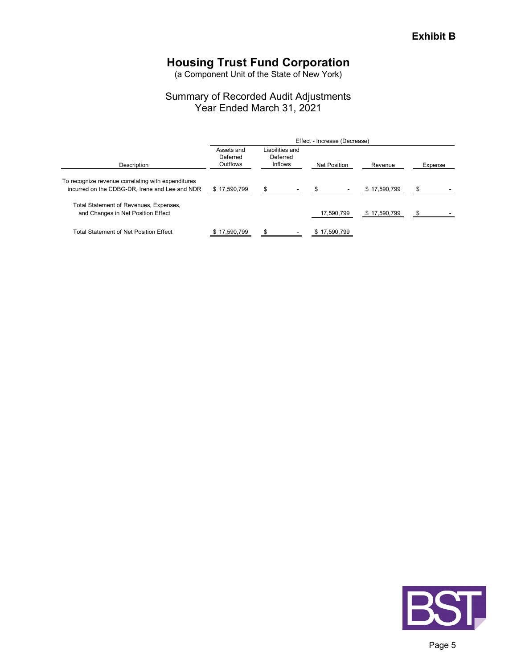(a Component Unit of the State of New York)

## Summary of Recorded Audit Adjustments Year Ended March 31, 2021

|                                                                                                      | Effect - Increase (Decrease)       |                                               |              |              |         |  |  |  |  |
|------------------------------------------------------------------------------------------------------|------------------------------------|-----------------------------------------------|--------------|--------------|---------|--|--|--|--|
| Description                                                                                          | Assets and<br>Deferred<br>Outflows | Liabilities and<br>Deferred<br><b>Inflows</b> | Net Position | Revenue      | Expense |  |  |  |  |
| To recognize revenue correlating with expenditures<br>incurred on the CDBG-DR, Irene and Lee and NDR | \$17,590,799                       |                                               |              | \$17,590,799 |         |  |  |  |  |
| Total Statement of Revenues, Expenses,<br>and Changes in Net Position Effect                         |                                    |                                               | 17,590,799   | \$17,590,799 |         |  |  |  |  |
| Total Statement of Net Position Effect                                                               | \$17,590,799                       |                                               | \$17,590,799 |              |         |  |  |  |  |

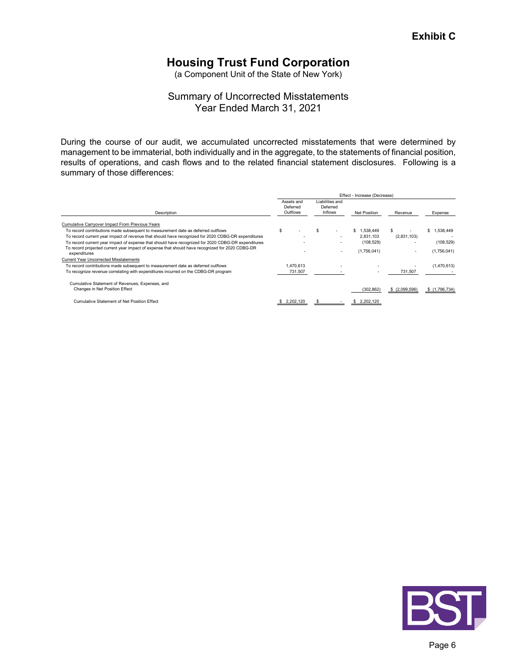(a Component Unit of the State of New York)

## Summary of Uncorrected Misstatements Year Ended March 31, 2021

During the course of our audit, we accumulated uncorrected misstatements that were determined by management to be immaterial, both individually and in the aggregate, to the statements of financial position, results of operations, and cash flows and to the related financial statement disclosures. Following is a summary of those differences:

|                                                                                                    | Effect - Increase (Decrease) |                                    |  |                                               |                     |               |                 |  |  |
|----------------------------------------------------------------------------------------------------|------------------------------|------------------------------------|--|-----------------------------------------------|---------------------|---------------|-----------------|--|--|
| Description                                                                                        |                              | Assets and<br>Deferred<br>Outflows |  | Liabilities and<br>Deferred<br><b>Inflows</b> | <b>Net Position</b> | Revenue       | Expense         |  |  |
| Cumulative Carryover Impact From Previous Years                                                    |                              |                                    |  |                                               |                     |               |                 |  |  |
| To record contributions made subsequent to measurement date as deferred outflows                   | \$                           |                                    |  |                                               | \$<br>1.538.449     |               | 1,538,449<br>\$ |  |  |
| To record current year impact of revenue that should have recognized for 2020 CDBG-DR expenditures |                              |                                    |  |                                               | 2.831.103           | (2,831,103)   |                 |  |  |
| To record current year impact of expense that should have recognized for 2020 CDBG-DR expenditures |                              |                                    |  |                                               | (108, 529)          |               | (108, 529)      |  |  |
| To record projected current year impact of expense that should have recognized for 2020 CDBG-DR    |                              |                                    |  |                                               | (1,756,041)         |               | (1,756,041)     |  |  |
| expenditures                                                                                       |                              |                                    |  | ٠                                             |                     |               |                 |  |  |
| Current Year Uncorrected Misstatements                                                             |                              |                                    |  |                                               |                     |               |                 |  |  |
| To record contributions made subsequent to measurement date as deferred outflows                   |                              | 1.470.613                          |  |                                               |                     |               | (1,470,613)     |  |  |
| To recognize revenue correlating with expenditures incurred on the CDBG-DR program                 |                              | 731,507                            |  |                                               |                     | 731,507       |                 |  |  |
| Cumulative Statement of Revenues, Expenses, and                                                    |                              |                                    |  |                                               |                     |               |                 |  |  |
| Changes in Net Position Effect                                                                     |                              |                                    |  |                                               | (302, 862)          | \$(2,099,596) | \$(1,796,734)   |  |  |
| Cumulative Statement of Net Position Effect                                                        |                              | 2.202.120                          |  |                                               | 2.202.120           |               |                 |  |  |

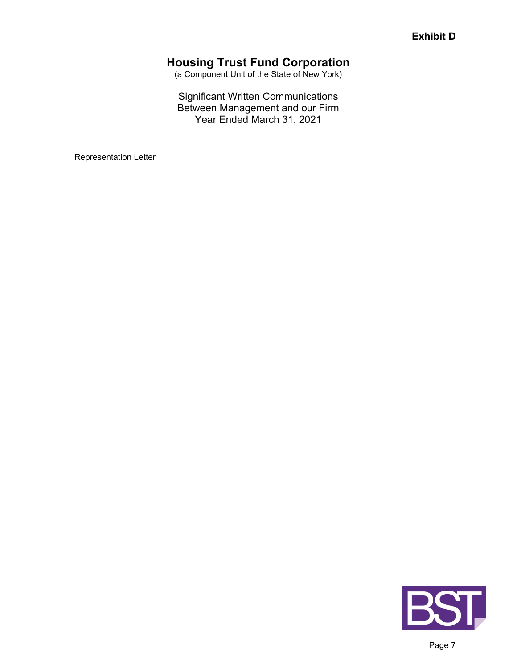(a Component Unit of the State of New York)

## Significant Written Communications Between Management and our Firm Year Ended March 31, 2021

Representation Letter

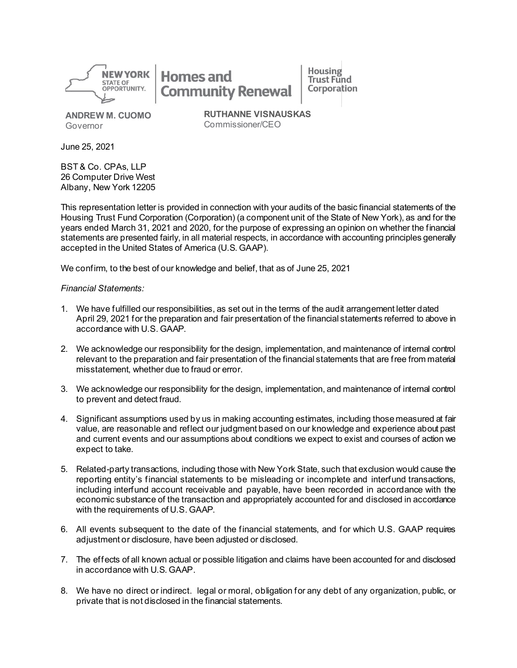

**Homes and Community Renewal** 

**ANDREW M. CUOMO** Governor

**RUTHANNE VISNAUSKAS** Commissioner/CEO

**Housing** 

Trust Fund

Corporation

June 25, 2021

BST & Co. CPAs, LLP 26 Computer Drive West Albany, New York 12205

This representation letter is provided in connection with your audits of the basic financial statements of the Housing Trust Fund Corporation (Corporation) (a component unit of the State of New York), as and for the years ended March 31, 2021 and 2020, for the purpose of expressing an opinion on whether the financial statements are presented fairly, in all material respects, in accordance with accounting principles generally accepted in the United States of America (U.S. GAAP).

We confirm, to the best of our knowledge and belief, that as of June 25, 2021

#### *Financial Statements:*

- 1. We have fulfilled our responsibilities, as set out in the terms of the audit arrangement letter dated April 29, 2021 for the preparation and fair presentation of the financial statements referred to above in accordance with U.S. GAAP.
- 2. We acknowledge our responsibility for the design, implementation, and maintenance of internal control relevant to the preparation and fair presentation of the financial statements that are free from material misstatement, whether due to fraud or error.
- 3. We acknowledge our responsibility for the design, implementation, and maintenance of internal control to prevent and detect fraud.
- 4. Significant assumptions used by us in making accounting estimates, including those measured at fair value, are reasonable and reflect our judgment based on our knowledge and experience about past and current events and our assumptions about conditions we expect to exist and courses of action we expect to take.
- 5. Related-party transactions, including those with New York State, such that exclusion would cause the reporting entity's financial statements to be misleading or incomplete and interfund transactions, including interfund account receivable and payable, have been recorded in accordance with the economic substance of the transaction and appropriately accounted for and disclosed in accordance with the requirements of U.S. GAAP.
- 6. All events subsequent to the date of the financial statements, and for which U.S. GAAP requires adjustment or disclosure, have been adjusted or disclosed.
- 7. The effects of all known actual or possible litigation and claims have been accounted for and disclosed in accordance with U.S. GAAP.
- 8. We have no direct or indirect. legal or moral, obligation for any debt of any organization, public, or private that is not disclosed in the financial statements.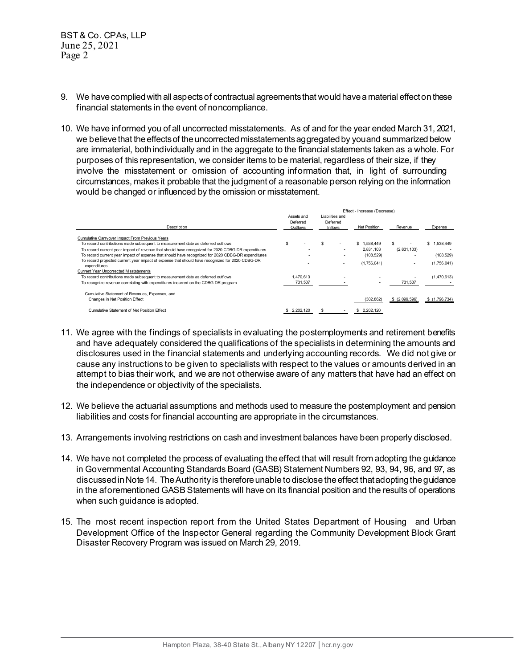- 9. We have complied with all aspectsof contractual agreements that would have a material effecton these financial statements in the event of noncompliance.
- 10. We have informed you of all uncorrected misstatements. As of and for the year ended March 31, 2021, we believe that the effects of the uncorrected misstatements aggregated by you and summarized below are immaterial, both individually and in the aggregate to the financial statements taken as a whole. For purposes of this representation, we consider items to be material, regardless of their size, if they involve the misstatement or omission of accounting information that, in light of surrounding circumstances, makes it probable that the judgment of a reasonable person relying on the information would be changed or influenced by the omission or misstatement.

|                                                                                                                 | Effect - Increase (Decrease) |                                    |  |                                        |                 |               |               |
|-----------------------------------------------------------------------------------------------------------------|------------------------------|------------------------------------|--|----------------------------------------|-----------------|---------------|---------------|
| Description                                                                                                     |                              | Assets and<br>Deferred<br>Outflows |  | Liabilities and<br>Deferred<br>Inflows | Net Position    | Revenue       | Expense       |
| Cumulative Carryover Impact From Previous Years                                                                 |                              |                                    |  |                                        |                 |               |               |
| To record contributions made subsequent to measurement date as deferred outflows                                | S                            |                                    |  |                                        | 1.538.449<br>\$ |               | \$1,538,449   |
| To record current year impact of revenue that should have recognized for 2020 CDBG-DR expenditures              |                              |                                    |  |                                        | 2.831.103       | (2,831,103)   |               |
| To record current year impact of expense that should have recognized for 2020 CDBG-DR expenditures              |                              |                                    |  |                                        | (108, 529)      |               | (108, 529)    |
| To record projected current year impact of expense that should have recognized for 2020 CDBG-DR<br>expenditures |                              |                                    |  |                                        | (1,756,041)     |               | (1,756,041)   |
| <b>Current Year Uncorrected Misstatements</b>                                                                   |                              |                                    |  |                                        |                 |               |               |
| To record contributions made subsequent to measurement date as deferred outflows                                |                              | 1.470.613                          |  | ۰                                      |                 |               | (1,470,613)   |
| To recognize revenue correlating with expenditures incurred on the CDBG-DR program                              |                              | 731.507                            |  |                                        |                 | 731,507       |               |
| Cumulative Statement of Revenues, Expenses, and                                                                 |                              |                                    |  |                                        |                 |               |               |
| Changes in Net Position Effect                                                                                  |                              |                                    |  |                                        | (302.862)       | \$(2,099,596) | \$(1,796,734) |
| Cumulative Statement of Net Position Effect                                                                     |                              | \$ 2,202,120                       |  |                                        | \$ 2.202.120    |               |               |

- 11. We agree with the findings of specialists in evaluating the postemployments and retirement benefits and have adequately considered the qualifications of the specialists in determining the amounts and disclosures used in the financial statements and underlying accounting records. We did not give or cause any instructions to be given to specialists with respect to the values or amounts derived in an attempt to bias their work, and we are not otherwise aware of any matters that have had an effect on the independence or objectivity of the specialists.
- 12. We believe the actuarial assumptions and methods used to measure the postemployment and pension liabilities and costs for financial accounting are appropriate in the circumstances.
- 13. Arrangements involving restrictions on cash and investment balances have been properly disclosed.
- 14. We have not completed the process of evaluating the effect that will result from adopting the guidance in Governmental Accounting Standards Board (GASB) Statement Numbers 92, 93, 94, 96, and 97, as discussed in Note 14. The Authority is therefore unable to disclose the effect that adopting the guidance in the aforementioned GASB Statements will have on its financial position and the results of operations when such guidance is adopted.
- 15. The most recent inspection report from the United States Department of Housing and Urban Development Office of the Inspector General regarding the Community Development Block Grant Disaster Recovery Program was issued on March 29, 2019.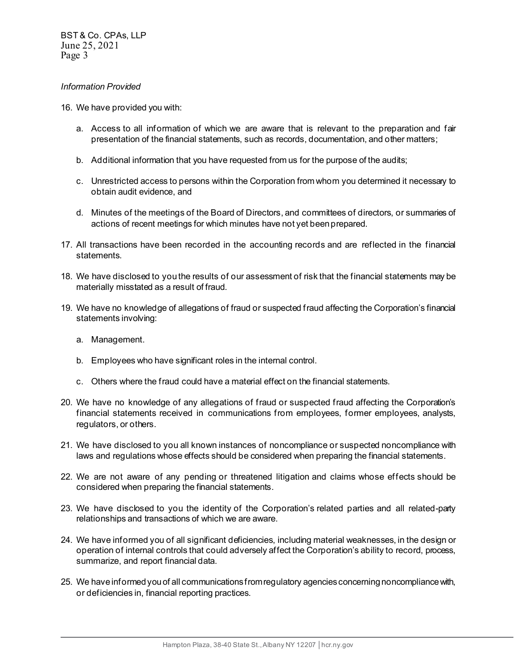#### *Information Provided*

- 16. We have provided you with:
	- a. Access to all information of which we are aware that is relevant to the preparation and fair presentation of the financial statements, such as records, documentation, and other matters;
	- b. Additional information that you have requested from us for the purpose of the audits;
	- c. Unrestricted access to persons within the Corporation from whom you determined it necessary to obtain audit evidence, and
	- d. Minutes of the meetings of the Board of Directors, and committees of directors, or summaries of actions of recent meetings for which minutes have not yet been prepared.
- 17. All transactions have been recorded in the accounting records and are reflected in the financial statements.
- 18. We have disclosed to you the results of our assessment of risk that the financial statements may be materially misstated as a result of fraud.
- 19. We have no knowledge of allegations of fraud or suspected fraud affecting the Corporation's financial statements involving:
	- a. Management.
	- b. Employees who have significant roles in the internal control.
	- c. Others where the fraud could have a material effect on the financial statements.
- 20. We have no knowledge of any allegations of fraud or suspected fraud affecting the Corporation's financial statements received in communications from employees, former employees, analysts, regulators, or others.
- 21. We have disclosed to you all known instances of noncompliance or suspected noncompliance with laws and regulations whose effects should be considered when preparing the financial statements.
- 22. We are not aware of any pending or threatened litigation and claims whose effects should be considered when preparing the financial statements.
- 23. We have disclosed to you the identity of the Corporation's related parties and all related-party relationships and transactions of which we are aware.
- 24. We have informed you of all significant deficiencies, including material weaknesses, in the design or operation of internal controls that could adversely affect the Corporation's ability to record, process, summarize, and report financial data.
- 25. We have informed you of all communications from regulatory agencies concerning noncompliance with, or deficiencies in, financial reporting practices.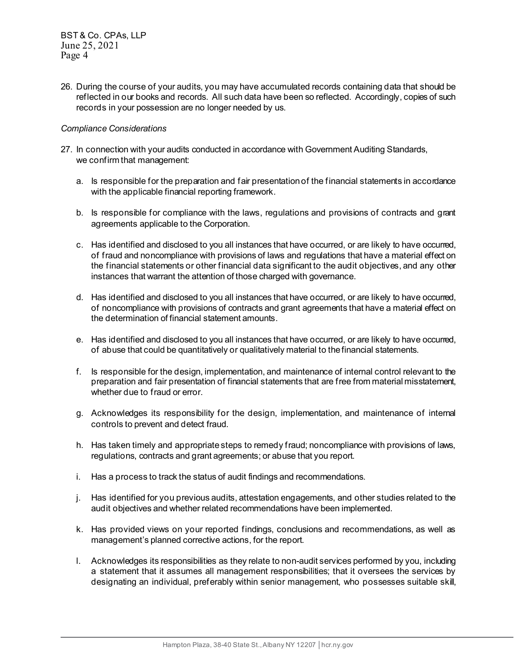26. During the course of your audits, you may have accumulated records containing data that should be reflected in our books and records. All such data have been so reflected. Accordingly, copies of such records in your possession are no longer needed by us.

#### *Compliance Considerations*

- 27. In connection with your audits conducted in accordance with Government Auditing Standards, we confirm that management:
	- a. Is responsible for the preparation and fair presentation of the financial statements in accordance with the applicable financial reporting framework.
	- b. Is responsible for compliance with the laws, regulations and provisions of contracts and grant agreements applicable to the Corporation.
	- c. Has identified and disclosed to you all instances that have occurred, or are likely to have occurred, of fraud and noncompliance with provisions of laws and regulations that have a material effect on the financial statements or other financial data significant to the audit objectives, and any other instances that warrant the attention of those charged with governance.
	- d. Has identified and disclosed to you all instances that have occurred, or are likely to have occurred, of noncompliance with provisions of contracts and grant agreements that have a material effect on the determination of financial statement amounts.
	- e. Has identified and disclosed to you all instances that have occurred, or are likely to have occurred, of abuse that could be quantitatively or qualitatively material to the financial statements.
	- f. Is responsible for the design, implementation, and maintenance of internal control relevant to the preparation and fair presentation of financial statements that are free from material misstatement, whether due to fraud or error.
	- g. Acknowledges its responsibility for the design, implementation, and maintenance of internal controls to prevent and detect fraud.
	- h. Has taken timely and appropriate steps to remedy fraud; noncompliance with provisions of laws, regulations, contracts and grant agreements; or abuse that you report.
	- i. Has a process to track the status of audit findings and recommendations.
	- j. Has identified for you previous audits, attestation engagements, and other studies related to the audit objectives and whether related recommendations have been implemented.
	- k. Has provided views on your reported findings, conclusions and recommendations, as well as management's planned corrective actions, for the report.
	- l. Acknowledges its responsibilities as they relate to non-audit services performed by you, including a statement that it assumes all management responsibilities; that it oversees the services by designating an individual, preferably within senior management, who possesses suitable skill,